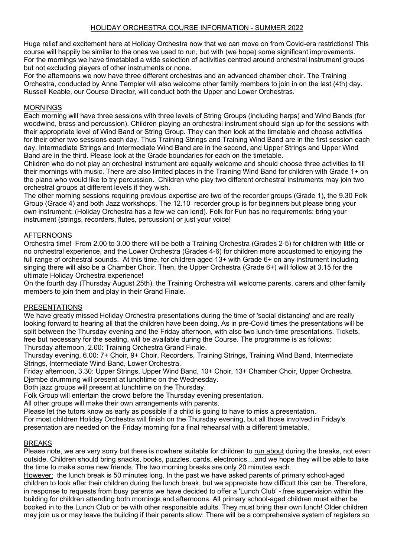# HOLIDAY ORCHESTRA COURSE INFORMATION - SUMMER 2022

Huge relief and excitement here at Holiday Orchestra now that we can move on from Covid-era restrictions! This course will happily be similar to the ones we used to run, but with (we hope) some significant improvements. For the mornings we have timetabled a wide selection of activities centred around orchestral instrument groups but not excluding players of other instruments or none.

For the afternoons we now have three different orchestras and an advanced chamber choir. The Training Orchestra, conducted by Anne Templer will also welcome other family members to join in on the last (4th) day. Russell Keable, our Course Director, will conduct both the Upper and Lower Orchestras.

### MORNINGS

Each morning will have three sessions with three levels of String Groups (including harps) and Wind Bands (for woodwind, brass and percussion). Children playing an orchestral instrument should sign up for the sessions with their appropriate level of Wind Band or String Group. They can then look at the timetable and choose activities for their other two sessions each day. Thus Training Strings and Training Wind Band are in the first session each day, Intermediate Strings and Intermediate Wind Band are in the second, and Upper Strings and Upper Wind Band are in the third. Please look at the Grade boundaries for each on the timetable.

Children who do not play an orchestral instrument are equally welcome and should choose three activities to fill their mornings with music. There are also limited places in the Training Wind Band for children with Grade 1+ on the piano who would like to try percussion. Children who play two different orchestral instruments may join two orchestral groups at different levels if they wish.

The other morning sessions requiring previous expertise are two of the recorder groups (Grade 1), the 9.30 Folk Group (Grade 4) and both Jazz workshops. The 12.10 recorder group is for beginners but please bring your own instrument; (Holiday Orchestra has a few we can lend). Folk for Fun has no requirements: bring your instrument (strings, recorders, flutes, percussion) or just your voice!

### AFTERNOONS

Orchestra time! From 2.00 to 3.00 there will be both a Training Orchestra (Grades 2-5) for children with little or no orchestral experience, and the Lower Orchestra (Grades 4-6) for children more accustomed to enjoying the full range of orchestral sounds. At this time, for children aged 13+ with Grade 6+ on any instrument including singing there will also be a Chamber Choir. Then, the Upper Orchestra (Grade 6+) will follow at 3.15 for the ultimate Holiday Orchestra experience!

On the fourth day (Thursday August 25th), the Training Orchestra will welcome parents, carers and other family members to join them and play in their Grand Finale.

#### PRESENTATIONS

We have greatly missed Holiday Orchestra presentations during the time of 'social distancing' and are really looking forward to hearing all that the children have been doing. As in pre-Covid times the presentations will be split between the Thursday evening and the Friday afternoon, with also two lunch-time presentations. Tickets, free but necessary for the seating, will be available during the Course. The programme is as follows: Thursday afternoon, 2.00: Training Orchestra Grand Finale.

Thursday evening, 6.00: 7+ Choir, 9+ Choir, Recorders, Training Strings, Training Wind Band, Intermediate Strings, Intermediate Wind Band, Lower Orchestra.

Friday afternoon, 3.30: Upper Strings, Upper Wind Band, 10+ Choir, 13+ Chamber Choir, Upper Orchestra. Djembe drumming will present at lunchtime on the Wednesday.

Both jazz groups will present at lunchtime on the Thursday.

Folk Group will entertain the crowd before the Thursday evening presentation.

All other groups will make their own arrangements with parents.

Please let the tutors know as early as possible if a child is going to have to miss a presentation.

For most children Holiday Orchestra will finish on the Thursday evening, but all those involved in Friday's presentation are needed on the Friday morning for a final rehearsal with a different timetable.

# BREAKS

Please note, we are very sorry but there is nowhere suitable for children to run about during the breaks, not even outside. Children should bring snacks, books, puzzles, cards, electronics....and we hope they will be able to take the time to make some new friends. The two morning breaks are only 20 minutes each.

However: the lunch break is 50 minutes long. In the past we have asked parents of primary school-aged children to look after their children during the lunch break, but we appreciate how difficult this can be. Therefore, in response to requests from busy parents we have decided to offer a 'Lunch Club' - free supervision within the building for children attending both mornings and afternoons. All primary school-aged children must either be booked in to the Lunch Club or be with other responsible adults. They must bring their own lunch! Older children may join us or may leave the building if their parents allow. There will be a comprehensive system of registers so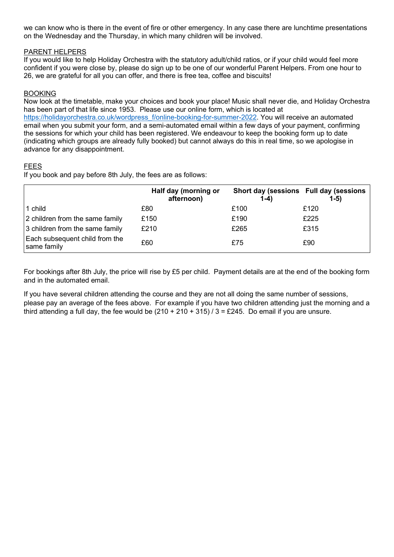we can know who is there in the event of fire or other emergency. In any case there are lunchtime presentations on the Wednesday and the Thursday, in which many children will be involved.

### PARENT HELPERS

If you would like to help Holiday Orchestra with the statutory adult/child ratios, or if your child would feel more confident if you were close by, please do sign up to be one of our wonderful Parent Helpers. From one hour to 26, we are grateful for all you can offer, and there is free tea, coffee and biscuits!

## BOOKING

Now look at the timetable, make your choices and book your place! Music shall never die, and Holiday Orchestra has been part of that life since 1953. Please use our online form, which is located at https://holidayorchestra.co.uk/wordpress\_f/online-booking-for-summer-2022. You will receive an automated email when you submit your form, and a semi-automated email within a few days of your payment, confirming the sessions for which your child has been registered. We endeavour to keep the booking form up to date (indicating which groups are already fully booked) but cannot always do this in real time, so we apologise in advance for any disappointment.

### FEES

If you book and pay before 8th July, the fees are as follows:

|                                               | Half day (morning or<br>afternoon) | Short day (sessions Full day (sessions<br>$1-4)$ | $1-5)$ |
|-----------------------------------------------|------------------------------------|--------------------------------------------------|--------|
| 1 child                                       | £80                                | £100                                             | £120   |
| 2 children from the same family               | £150                               | £190                                             | £225   |
| 3 children from the same family               | £210                               | £265                                             | £315   |
| Each subsequent child from the<br>same family | £60                                | £75                                              | £90    |

For bookings after 8th July, the price will rise by £5 per child. Payment details are at the end of the booking form and in the automated email.

If you have several children attending the course and they are not all doing the same number of sessions, please pay an average of the fees above. For example if you have two children attending just the morning and a third attending a full day, the fee would be  $(210 + 210 + 315)/3 = \text{\textsterling}245$ . Do email if you are unsure.